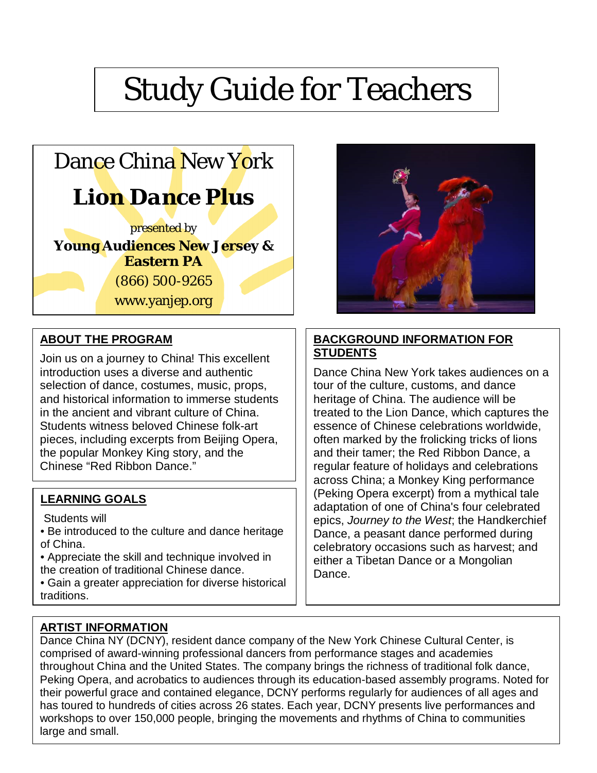# Study Guide for Teachers



## **ABOUT THE PROGRAM**

 pieces, including excerpts from Beijing Opera, Join us on a journey to China! This excellent introduction uses a diverse and authentic selection of dance, costumes, music, props, and historical information to immerse students in the ancient and vibrant culture of China. Students witness beloved Chinese folk-art the popular Monkey King story, and the Chinese "Red Ribbon Dance."

#### **LEARNING GOALS**

Students will

- Be introduced to the culture and dance heritage of China.
- Appreciate the skill and technique involved in the creation of traditional Chinese dance.
- Gain a greater appreciation for diverse historical traditions.



#### **BACKGROUND INFORMATION FOR STUDENTS**

Dance China New York takes audiences on a tour of the culture, customs, and dance heritage of China. The audience will be treated to the Lion Dance, which captures the essence of Chinese celebrations worldwide, often marked by the frolicking tricks of lions and their tamer; the Red Ribbon Dance, a regular feature of holidays and celebrations across China; a Monkey King performance (Peking Opera excerpt) from a mythical tale adaptation of one of China's four celebrated epics, *Journey to the West*; the Handkerchief Dance, a peasant dance performed during celebratory occasions such as harvest; and either a Tibetan Dance or a Mongolian Dance.

#### **ARTIST INFORMATION**

Dance China NY (DCNY), resident dance company of the New York Chinese Cultural Center, is comprised of award-winning professional dancers from performance stages and academies throughout China and the United States. The company brings the richness of traditional folk dance, Peking Opera, and acrobatics to audiences through its education-based assembly programs. Noted for their powerful grace and contained elegance, DCNY performs regularly for audiences of all ages and has toured to hundreds of cities across 26 states. Each year, DCNY presents live performances and workshops to over 150,000 people, bringing the movements and rhythms of China to communities large and small.